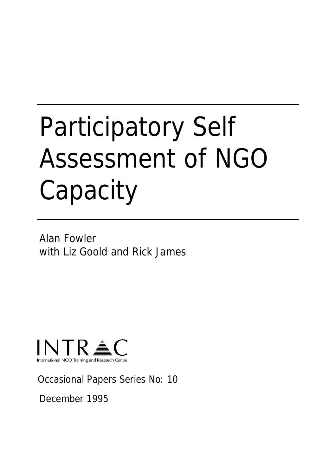# Participatory Self Assessment of NGO **Capacity**

Alan Fowler with Liz Goold and Rick James



Occasional Papers Series No: 10

December 1995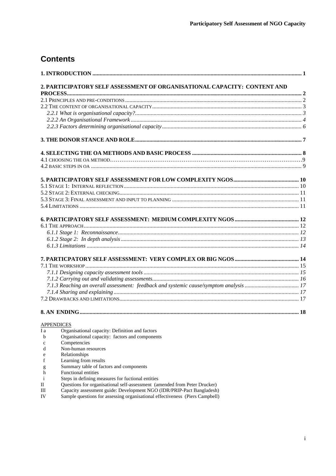# **Contents**

|                  | 2. PARTICIPATORY SELF ASSESSMENT OF ORGANISATIONAL CAPACITY: CONTENT AND                           |  |
|------------------|----------------------------------------------------------------------------------------------------|--|
|                  |                                                                                                    |  |
|                  |                                                                                                    |  |
|                  |                                                                                                    |  |
|                  |                                                                                                    |  |
|                  |                                                                                                    |  |
|                  |                                                                                                    |  |
|                  |                                                                                                    |  |
|                  |                                                                                                    |  |
|                  |                                                                                                    |  |
|                  |                                                                                                    |  |
|                  |                                                                                                    |  |
|                  |                                                                                                    |  |
|                  |                                                                                                    |  |
|                  |                                                                                                    |  |
|                  |                                                                                                    |  |
|                  |                                                                                                    |  |
|                  |                                                                                                    |  |
|                  |                                                                                                    |  |
|                  |                                                                                                    |  |
|                  |                                                                                                    |  |
|                  |                                                                                                    |  |
|                  |                                                                                                    |  |
|                  |                                                                                                    |  |
|                  |                                                                                                    |  |
|                  |                                                                                                    |  |
|                  |                                                                                                    |  |
|                  |                                                                                                    |  |
|                  |                                                                                                    |  |
|                  |                                                                                                    |  |
|                  | <b>APPENDICES</b>                                                                                  |  |
| I a              | Organisational capacity: Definition and factors<br>Organisational capacity: factors and components |  |
| b                | Competencies                                                                                       |  |
| $\mathbf c$<br>d | Non-human resources                                                                                |  |
| e                | Relationships                                                                                      |  |
| f                | Learning from results                                                                              |  |
| g                | Summary table of factors and components                                                            |  |
| h                | Functional entities                                                                                |  |
|                  | $\cdots$ $\cdots$                                                                                  |  |

- i Steps in defining measures for fuctional entities<br>II Ouestions for organisational self-assessment (are
- II Questions for organisational self-assessment (amended from Peter Drucker)
- III Capacity assessment guide: Development NGO (IDR/PRIP-Pact Bangladesh)
- IV Sample questions for assessing organisational effectiveness (Piers Campbell)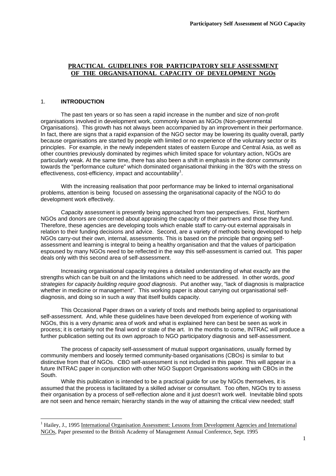# **PRACTICAL GUIDELINES FOR PARTICIPATORY SELF ASSESSMENT OF THE ORGANISATIONAL CAPACITY OF DEVELOPMENT NGOs**

# 1. **INTRODUCTION**

 The past ten years or so has seen a rapid increase in the number and size of non-profit organisations involved in development work, commonly known as NGOs (Non-governmental Organisations). This growth has not always been accompanied by an improvement in their performance. In fact, there are signs that a rapid expansion of the NGO sector may be lowering its quality overall, partly because organisations are started by people with limited or no experience of the voluntary sector or its principles. For example, in the newly independent states of eastern Europe and Central Asia, as well as other countries previously dominated by regimes which limited space for voluntary action, NGOs are particularly weak. At the same time, there has also been a shift in emphasis in the donor community towards the "performance culture" which dominated organisational thinking in the '80's with the stress on effectiveness, cost-efficiency, impact and accountability<sup>1</sup>.

 With the increasing realisation that poor performance may be linked to internal organisational problems, attention is being focused on assessing the organisational capacity of the NGO to do development work effectively.

 Capacity assessment is presently being approached from two perspectives. First, Northern NGOs and donors are concerned about appraising the capacity of their partners and those they fund. Therefore, these agencies are developing tools which enable staff to carry-out external appraisals in relation to their funding decisions and advice. Second, are a variety of methods being developed to help NGOs carry-out their own, internal, assessments. This is based on the principle that ongoing selfassessment and learning is integral to being a healthy organisation and that the values of participation espoused by many NGOs need to be reflected in the way this self-assessment is carried out. This paper deals only with this second area of self-assessment.

 Increasing organisational capacity requires a detailed understanding of what exactly are the strengths which can be built on and the limitations which need to be addressed. In other words*, good strategies for capacity building require good diagnosis*. Put another way, "lack of diagnosis is malpractice whether in medicine or management". This working paper is about carrying out organisational selfdiagnosis, and doing so in such a way that itself builds capacity.

 This Occasional Paper draws on a variety of tools and methods being applied to organisational self-assessment. And, while these guidelines have been developed from experience of working with NGOs, this is a very dynamic area of work and what is explained here can best be seen as work in process; it is certainly not the final word or state of the art. In the months to come, INTRAC will produce a further publication setting out its own approach to NGO participatory diagnosis and self-assessment.

 The process of capacity self-assessment of mutual support organisations, usually formed by community members and loosely termed community-based organisations (CBOs) is similar to but distinctive from that of NGOs. CBO self-assessment is not included in this paper. This will appear in a future INTRAC paper in conjunction with other NGO Support Organisations working with CBOs in the South.

 While this publication is intended to be a practical guide for use by NGOs themselves, it is assumed that the process is facilitated by a skilled adviser or consultant. Too often, NGOs try to assess their organisation by a process of self-reflection alone and it just doesn't work well. Inevitable blind spots are not seen and hence remain; hierarchy stands in the way of attaining the critical view needed; staff

<sup>&</sup>lt;sup>1</sup> Hailey, J., 1995 International Organisation Assessment: Lessons from Development Agencies and International NGOs, Paper presented to the British Academy of Management Annual Conference, Sept. 1995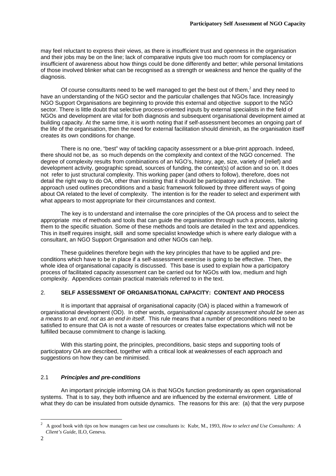may feel reluctant to express their views, as there is insufficient trust and openness in the organisation and their jobs may be on the line; lack of comparative inputs give too much room for complacency or insufficient of awareness about how things could be done differently and better; while personal limitations of those involved blinker what can be recognised as a strength or weakness and hence the quality of the diagnosis.

Of course consultants need to be well managed to get the best out of them,<sup>2</sup> and they need to have an understanding of the NGO sector and the particular challenges that NGOs face. Increasingly NGO Support Organisations are beginning to provide this external and objective support to the NGO sector. There is little doubt that selective process-oriented inputs by external specialists in the field of NGOs and development are vital for both diagnosis and subsequent organisational development aimed at building capacity. At the same time, it is worth noting that if self-assessment becomes an ongoing part of the life of the organisation, then the need for external facilitation should diminish, as the organisation itself creates its own conditions for change.

 There is no one, "best" way of tackling capacity assessment or a blue-print approach. Indeed, there should not be, as so much depends on the complexity and context of the NGO concerned. The degree of complexity results from combinations of an NGO's, history, age, size, variety of (relief) and development activity, geographic spread, sources of funding, the context(s) of action and so on. It does not refer to just structural complexity. This working paper (and others to follow), therefore, does not detail the right way to do OA, other than insisting that it should be participatory and inclusive. The approach used outlines preconditions and a basic framework followed by three different ways of going about OA related to the level of complexity. The intention is for the reader to select and experiment with what appears to most appropriate for their circumstances and context.

 The key is to understand and internalise the core principles of the OA process and to select the appropriate mix of methods and tools that can guide the organisation through such a process, tailoring them to the specific situation. Some of these methods and tools are detailed in the text and appendices. This in itself requires insight, skill and some specialist knowledge which is where early dialogue with a consultant, an NGO Support Organisation and other NGOs can help.

 These guidelines therefore begin with the key principles that have to be applied and preconditions which have to be in place if a self-assessment exercise is going to be effective. Then, the whole idea of organisational capacity is discussed. This base is used to explain how a participatory process of facilitated capacity assessment can be carried out for NGOs with low, medium and high complexity. Appendices contain practical materials referred to in the text.

# 2. **SELF ASSESSMENT OF ORGANISATIONAL CAPACITY: CONTENT AND PROCESS**

 It is important that appraisal of organisational capacity (OA) is placed within a framework of organisational development (OD). In other words*, organisational capacity assessment should be seen as a means to an end, not as an end in itself*. This rule means that a number of preconditions need to be satisfied to ensure that OA is not a waste of resources or creates false expectations which will not be fulfilled because commitment to change is lacking.

 With this starting point, the principles, preconditions, basic steps and supporting tools of participatory OA are described, together with a critical look at weaknesses of each approach and suggestions on how they can be minimised.

# 2.1 *Principles and pre-conditions*

 An important principle informing OA is that NGOs function predominantly as open organisational systems. That is to say, they both influence and are influenced by the external environment. Little of what they do can be insulated from outside dynamics. The reasons for this are: (a) that the very purpose

 $\frac{1}{2}$  A good book with tips on how managers can best use consultants is: Kubr, M., 1993, *How to select and Use Consultants: A Client's Guide*, ILO, Geneva.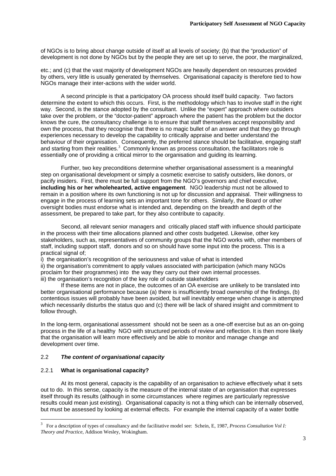of NGOs is to bring about change outside of itself at all levels of society; (b) that the "production" of development is not done by NGOs but by the people they are set up to serve, the poor, the marginalized,

etc.; and (c) that the vast majority of development NGOs are heavily dependent on resources provided by others, very little is usually generated by themselves. Organisational capacity is therefore tied to how NGOs manage their inter-actions with the wider world.

 A second principle is that a participatory OA process should itself build capacity. Two factors determine the extent to which this occurs. First, is the methodology which has to involve staff in the right way. Second, is the stance adopted by the consultant. Unlike the "expert" approach where outsiders take over the problem, or the "doctor-patient" approach where the patient has the problem but the doctor knows the cure, the consultancy challenge is to ensure that staff themselves accept responsibility and own the process, that they recognise that there is no magic bullet of an answer and that they go through experiences necessary to develop the capability to critically appraise and better understand the behaviour of their organisation. Consequently, the preferred stance should be facilitative, engaging staff and starting from their realities. $3$  Commonly known as process consultation, the facilitators role is essentially one of providing a critical mirror to the organisation and guiding its learning.

 Further, two key preconditions determine whether organisational assessment is a meaningful step on organisational development or simply a cosmetic exercise to satisfy outsiders, like donors, or pacify insiders. First, there must be full support from the NGO's governors and chief executive, **including his or her wholehearted, active engagement**. NGO leadership must not be allowed to remain in a position where its own functioning is not up for discussion and appraisal. Their willingness to engage in the process of learning sets an important tone for others. Similarly, the Board or other oversight bodies must endorse what is intended and, depending on the breadth and depth of the assessment, be prepared to take part, for they also contribute to capacity.

 Second, all relevant senior managers and critically placed staff with influence should participate in the process with their time allocations planned and other costs budgeted. Likewise, other key stakeholders, such as, representatives of community groups that the NGO works with, other members of staff, including support staff, donors and so on should have some input into the process. This is a practical signal of;

i) the organisation's recognition of the seriousness and value of what is intended ii) the organisation's commitment to apply values associated with participation (which many NGOs proclaim for their programmes) into the way they carry out their own internal processes. iii) the organisation's recognition of the key role of outside stakeholders

 If these items are not in place, the outcomes of an OA exercise are unlikely to be translated into better organisational performance because (a) there is insufficiently broad ownership of the findings, (b) contentious issues will probably have been avoided, but will inevitably emerge when change is attempted which necessarily disturbs the status quo and (c) there will be lack of shared insight and commitment to follow through.

In the long-term, organisational assessment should not be seen as a one-off exercise but as an on-going process in the life of a healthy NGO with structured periods of review and reflection. It is then more likely that the organisation will learn more effectively and be able to monitor and manage change and development over time.

# 2.2 *The content of organisational capacity*

# 2.2.1 **What is organisational capacity?**

 At its most general, capacity is the capability of an organisation to achieve effectively what it sets out to do. In this sense, capacity is the measure of the internal state of an organisation that expresses itself through its results (although in some circumstances where regimes are particularly repressive results could mean just existing). Organisational capacity is not a thing which can be internally observed, but must be assessed by looking at external effects. For example the internal capacity of a water bottle

<sup>&</sup>lt;sup>3</sup> For a description of types of consultancy and the facilitative model see: Schein, E, 1987, *Process Consultation Vol I: Theory and Practice*, Addison Wesley, Wokingham.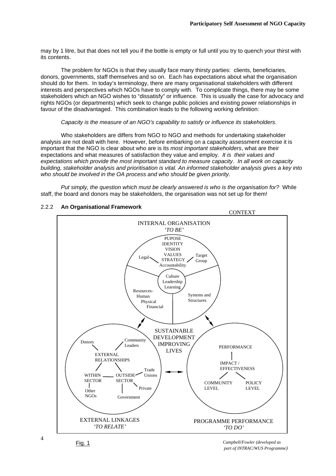may by 1 litre, but that does not tell you if the bottle is empty or full until you try to quench your thirst with its contents.

 The problem for NGOs is that they usually face many thirsty parties: clients, beneficiaries, donors, governments, staff themselves and so on. Each has expectations about what the organisation should do for them. In today's terminology, there are many organisational stakeholders with different interests and perspectives which NGOs have to comply with. To complicate things, there may be some stakeholders which an NGO wishes to "dissatisfy" or influence. This is usually the case for advocacy and rights NGOs (or departments) which seek to change public policies and existing power relationships in favour of the disadvantaged. This combination leads to the following working definition:

# *Capacity is the measure of an NGO's capability to satisfy or influence its stakeholders.*

 Who stakeholders are differs from NGO to NGO and methods for undertaking stakeholder analysis are not dealt with here. However, before embarking on a capacity assessment exercise it is important that the NGO is clear about who are is its *most important stakeholders*, what are their expectations and what measures of satisfaction they value and employ. *It is their values and expectations which provide the most important standard to measure capacity*. *In all work on capacity building, stakeholder analysis and prioritisation is vital. An informed stakeholder analysis gives a key into who should be involved in the OA process and who should be given priority.*

*Put simply, the question which must be clearly answered is who is the organisation for?* While staff, the board and donors may be stakeholders, the organisation was not set up for them!



# 2.2.2 **An Organisational Framework**

*Campbell/Fowler (developed as part of INTRAC/WUS Programme)*

4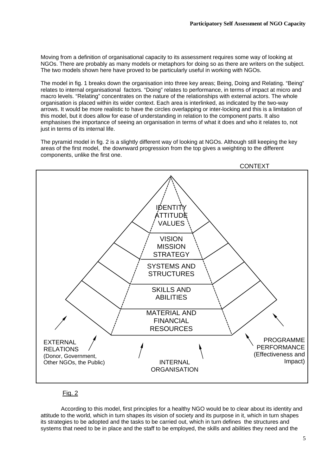Moving from a definition of organisational capacity to its assessment requires some way of looking at NGOs. There are probably as many models or metaphors for doing so as there are writers on the subject. The two models shown here have proved to be particularly useful in working with NGOs.

The model in fig. 1 breaks down the organisation into three key areas; Being, Doing and Relating. "Being" relates to internal organisational factors. "Doing" relates to performance, in terms of impact at micro and macro levels. "Relating" concentrates on the nature of the relationships with external actors. The whole organisation is placed within its wider context. Each area is interlinked, as indicated by the two-way arrows. It would be more realistic to have the circles overlapping or inter-locking and this is a limitation of this model, but it does allow for ease of understanding in relation to the component parts. It also emphasises the importance of seeing an organisation in terms of what it does and who it relates to, not just in terms of its internal life.

The pyramid model in fig. 2 is a slightly different way of looking at NGOs. Although still keeping the key areas of the first model, the downward progression from the top gives a weighting to the different components, unlike the first one.



# Fig. 2

 According to this model, first principles for a healthy NGO would be to clear about its identity and attitude to the world, which in turn shapes its vision of society and its purpose in it, which in turn shapes its strategies to be adopted and the tasks to be carried out, which in turn defines the structures and systems that need to be in place and the staff to be employed, the skills and abilities they need and the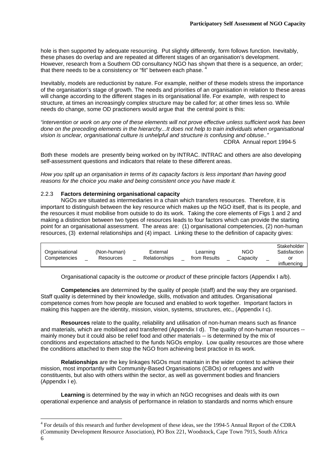hole is then supported by adequate resourcing. Put slightly differently, form follows function, Inevitably, these phases do overlap and are repeated at different stages of an organisation's development. However, research from a Southern OD consultancy NGO has shown that there is a sequence, an order; that there needs to be a consistency or "fit" between each phase.

Inevitably, models are reductionist by nature. For example, neither of these models stress the importance of the organisation's stage of growth. The needs and priorities of an organisation in relation to these areas will change according to the different stages in its organisational life. For example, with respect to structure, at times an increasingly complex structure may be called for; at other times less so. While needs do change, some OD practioners would argue that the central point is this:

*"intervention or work on any one of these elements will not prove effective unless sufficient work has been done on the preceding elements in the hierarchy...It does not help to train individuals when organisational vision is unclear, organisational culture is unhelpful and structure is confusing and obtuse.."*  CDRA Annual report 1994-5

Both these models are presently being worked on by INTRAC. INTRAC and others are also developing self-assessment questions and indicators that relate to these different areas.

*How you split up an organisation in terms of its capacity factors is less important than having good reasons for the choice you make and being consistent once you have made it.* 

# 2.2.3 **Factors determining organisational capacity**

 NGOs are situated as intermediaries in a chain which transfers resources. Therefore, it is important to distinguish between the key resource which makes up the NGO itself, that is its people, and the resources it must mobilise from outside to do its work. Taking the core elements of Figs 1 and 2 and making a distinction between two types of resources leads to four factors which can provide the starting point for an organisational assessment. The areas are: (1) organisational competencies, (2) non-human resources, (3) external relationships and (4) impact. Linking these to the definition of capacity gives:

| Organisational<br>Competencies | (Non-human)<br>Resources | External<br>Relationships | Learning<br>from Results | NGC<br>Capacitv | Stakeholder<br>Satisfaction<br>or |
|--------------------------------|--------------------------|---------------------------|--------------------------|-----------------|-----------------------------------|
|                                |                          |                           |                          |                 | influencing                       |

Organisational capacity is the *outcome or product* of these principle factors (Appendix I a/b).

**Competencies** are determined by the quality of people (staff) and the way they are organised. Staff quality is determined by their knowledge, skills, motivation and attitudes. Organisational competence comes from how people are focused and enabled to work together. Important factors in making this happen are the identity, mission, vision, systems, structures, etc., (Appendix I c).

 **Resources** relate to the quality, reliability and utilisation of non-human means such as finance and materials, which are mobilised and transferred (Appendix I d). The quality of non-human resources -mainly money but it could also be relief food and other materials -- is determined by the mix of conditions and expectations attached to the funds NGOs employ. Low quality resources are those where the conditions attached to them stop the NGO from achieving best practice in its work.

**Relationships** are the key linkages NGOs must maintain in the wider context to achieve their mission, most importantly with Community-Based Organisations (CBOs) or refugees and with constituents, but also with others within the sector, as well as government bodies and financiers (Appendix I e).

**Learning** is determined by the way in which an NGO recognises and deals with its own operational experience and analysis of performance in relation to standards and norms which ensure

<sup>6</sup>  <sup>4</sup> For details of this research and further development of these ideas, see the 1994-5 Annual Report of the CDRA (Community Development Resource Association), PO Box 221, Woodstock, Cape Town 7915, South Africa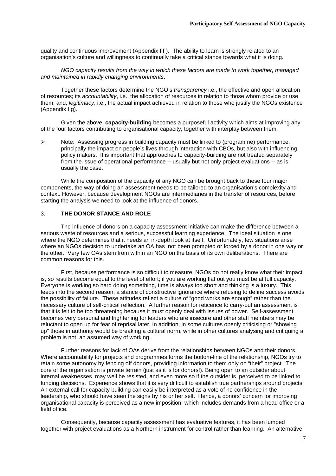quality and continuous improvement (Appendix I f ). The ability to learn is strongly related to an organisation's culture and willingness to continually take a critical stance towards what it is doing.

 *NGO capacity results from the way in which these factors are made to work together, managed and maintained in rapidly changing environments*.

 Together these factors determine the NGO's *transparency* i.e., the effective and open allocation of resources; its *accountability*, i.e., the allocation of resources in relation to those whom provide or use them; and, *legitimacy*, i.e., the actual impact achieved in relation to those who justify the NGOs existence (Appendix I g).

 Given the above, **capacity-building** becomes a purposeful activity which aims at improving any of the four factors contributing to organisational capacity, together with interplay between them.

 $\triangleright$  Note: Assessing progress in building capacity must be linked to (programme) performance, principally the impact on people's lives through interaction with CBOs, but also with influencing policy makers. It is important that approaches to capacity-building are not treated separately from the issue of operational performance -- usually but not only project evaluations -- as is usually the case.

 While the composition of the capacity of any NGO can be brought back to these four major components, the way of doing an assessment needs to be tailored to an organisation's complexity and context. However, because development NGOs are intermediaries in the transfer of resources, before starting the analysis we need to look at the influence of donors.

# 3. **THE DONOR STANCE AND ROLE**

 The influence of donors on a capacity assessment initiative can make the difference between a serious waste of resources and a serious, successful learning experience. The ideal situation is one where the NGO determines that it needs an in-depth look at itself. Unfortunately, few situations arise where an NGOs decision to undertake an OA has not been prompted or forced by a donor in one way or the other. Very few OAs stem from within an NGO on the basis of its own deliberations. There are common reasons for this.

 First, because performance is so difficult to measure, NGOs do not really know what their impact is, so results become equal to the level of effort; if you are working flat out you must be at full capacity. Everyone is working so hard doing something, time is always too short and thinking is a luxury. This feeds into the second reason, a stance of constructive ignorance where refusing to define success avoids the possibility of failure. These attitudes reflect a culture of "good works are enough" rather than the necessary culture of self-critical reflection. A further reason for reticence to carry-out an assessment is that it is felt to be too threatening because it must openly deal with issues of power. Self-assessment becomes very personal and frightening for leaders who are insecure and other staff members may be reluctant to open up for fear of reprisal later. In addition, in some cultures openly criticising or "showing up" those in authority would be breaking a cultural norm, while in other cultures analysing and critiquing a problem is not an assumed way of working .

 Further reasons for lack of OAs derive from the relationships between NGOs and their donors. Where accountability for projects and programmes forms the bottom-line of the relationship, NGOs try to retain some autonomy by fencing off donors, providing information to them only on "their" project. The core of the organisation is private terrain (just as it is for donors!). Being open to an outsider about internal weaknesses may well be resisted, and even more so if the outsider is perceived to be linked to funding decisions. Experience shows that it is very difficult to establish true partnerships around projects. An external call for capacity building can easily be interpreted as a vote of no confidence in the leadership, who should have seen the signs by his or her self. Hence, a donors' concern for improving organisational capacity is perceived as a new imposition, which includes demands from a head office or a field office.

 Consequently, because capacity assessment has evaluative features, it has been lumped together with project evaluations as a Northern instrument for control rather than learning. An alternative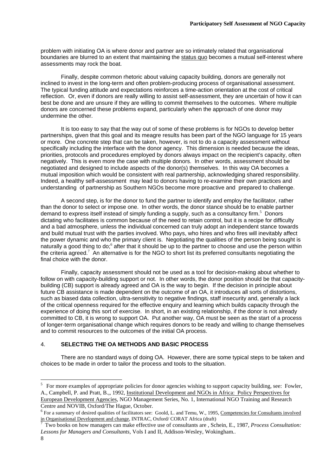problem with initiating OA is where donor and partner are so intimately related that organisational boundaries are blurred to an extent that maintaining the status quo becomes a mutual self-interest where assessments may rock the boat.

 Finally, despite common rhetoric about valuing capacity building, donors are generally not inclined to invest in the long-term and often problem-producing process of organisational assessment. The typical funding attitude and expectations reinforces a time-action orientation at the cost of critical reflection. Or, even if donors are really willing to assist self-assessment, they are uncertain of how it can best be done and are unsure if they are willing to commit themselves to the outcomes. Where multiple donors are concerned these problems expand, particularly when the approach of one donor may undermine the other.

 It is too easy to say that the way out of some of these problems is for NGOs to develop better partnerships, given that this goal and its meagre results has been part of the NGO language for 15 years or more. One concrete step that can be taken, however, is not to do a capacity assessment without specifically including the interface with the donor agency. This dimension is needed because the ideas, priorities, protocols and procedures employed by donors always impact on the recipient's capacity, often negatively. This is even more the case with multiple donors. In other words, assessment should be negotiated and designed to include aspects of the donor(s) themselves. In this way OA becomes a mutual imposition which would be consistent with real partnership, acknowledging shared responsibility. Indeed, a healthy self-assessment may lead to donors having to re-examine their own practices and understanding of partnership as Southern NGOs become more proactive and prepared to challenge.

 A second step, is for the donor to fund the partner to identify and employ the facilitator, rather than the donor to select or impose one. In other words, the donor stance should be to enable partner demand to express itself instead of simply funding a supply, such as a consultancy firm.<sup>5</sup> Donors dictating who facilitates is common because of the need to retain control, but it is a recipe for difficulty and a bad atmosphere, unless the individual concerned can truly adopt an independent stance towards and build mutual trust with the parties involved. Who pays, who hires and who fires will inevitably affect the power dynamic and who the primary client is. Negotiating the qualities of the person being sought is naturally a good thing to do;<sup>6</sup> after that it should be up to the partner to choose and use the person within the criteria agreed.<sup>7</sup> An alternative is for the NGO to short list its preferred consultants negotiating the final choice with the donor.

 Finally, capacity assessment should not be used as a tool for decision-making about whether to follow on with capacity-building support or not. In other words, the donor position should be that capacitybuilding (CB) support is already agreed and OA is the way to begin. If the decision in principle about future CB assistance is made dependent on the outcome of an OA, it introduces all sorts of distortions, such as biased data collection, ultra-sensitivity to negative findings, staff insecurity and, generally a lack of the critical openness required for the effective enquiry and learning which builds capacity through the experience of doing this sort of exercise. In short, in an existing relationship, if the donor is not already committed to CB, it is wrong to support OA. Put another way, OA must be seen as the start of a process of longer-term organisational change which requires donors to be ready and willing to change themselves and to commit resources to the outcomes of the initial OA process.

# 4. **SELECTING THE OA METHODS AND BASIC PROCESS**

 There are no standard ways of doing OA. However, there are some typical steps to be taken and choices to be made in order to tailor the process and tools to the situation.

<sup>&</sup>lt;sup>5</sup> For more examples of appropriate policies for donor agencies wishing to support capacity building, see: Fowler, A., Campbell, P. and Pratt, B.,, 1992, Institutional Development and NGOs in Africa: Policy Perspectives for European Development Agencies, NGO Management Series, No. 1, International NGO Training and Research Centre and NOVIB, Oxford/The Hague, October.

 $6$  For a summary of desired qualities of facilitators see: Goold, L. and Temu, W., 1995, Competencies for Consultants involved in Organisational Development and change, INTRAC, Oxford/ CORAT Africa (draft) 7

Two books on how managers can make effective use of consultants are , Schein, E., 1987, *Process Consultation: Lessons for Managers and Consultants*, Vols I and II, Addison-Wesley, Wokingham..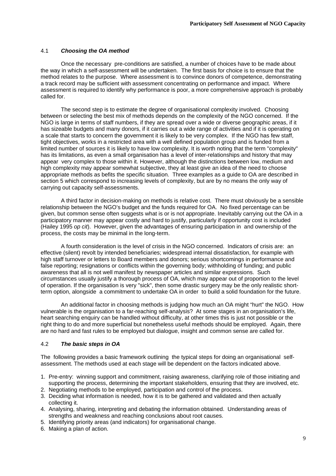# 4.1 *Choosing the OA method*

 Once the necessary pre-conditions are satisfied, a number of choices have to be made about the way in which a self-assessment will be undertaken. The first basis for choice is to ensure that the method relates to the purpose. Where assessment is to convince donors of competence, demonstrating a track record may be sufficient with assessment concentrating on performance and impact. Where assessment is required to identify why performance is poor, a more comprehensive approach is probably called for.

 The second step is to estimate the degree of organisational complexity involved. Choosing between or selecting the best mix of methods depends on the complexity of the NGO concerned. If the NGO is large in terms of staff numbers, if they are spread over a wide or diverse geographic areas, if it has sizeable budgets and many donors, if it carries out a wide range of activities and if it is operating on a scale that starts to concern the government it is likely to be very complex. If the NGO has few staff, tight objectives, works in a restricted area with a well defined population group and is funded from a limited number of sources it is likely to have low complexity. It is worth noting that the term "complexity" has its limitations, as even a small organisation has a level of inter-relationships and history that may appear very complex to those within it. However, although the distinctions between low, medium and high complexity may appear somewhat subjective, they at least give an idea of the need to choose appropriate methods as befits the specific situation. Three examples as a guide to OA are described in section 5 which correspond to increasing levels of complexity, but are by no means the only way of carrying out capacity self-assessments.

 A third factor in decision-making on methods is relative cost. There must obviously be a sensible relationship between the NGO's budget and the funds required for OA. No fixed percentage can be given, but common sense often suggests what is or is not appropriate. Inevitably carrying out the OA in a participatory manner may appear costly and hard to justify, particularly if opportunity cost is included (Hailey 1995 *op cit*). However, given the advantages of ensuring participation in and ownership of the process, the costs may be minimal in the long-term.

 A fourth consideration is the level of crisis in the NGO concerned. Indicators of crisis are: an effective (silent) revolt by intended beneficiaries; widespread internal dissatisfaction, for example with high staff turnover or letters to Board members and donors; serious shortcomings in performance and false reporting; resignations or conflicts within the governing body; withholding of funding; and public awareness that all is not well manifest by newspaper articles and similar expressions. Such circumstances usually justify a thorough process of OA, which may appear out of proportion to the level of operation. If the organisation is very "sick", then some drastic surgery may be the only realistic shortterm option, alongside a commitment to undertake OA in order to build a solid foundation for the future.

 An additional factor in choosing methods is judging how much an OA might "hurt" the NGO. How vulnerable is the organisation to a far-reaching self-analysis? At some stages in an organisation's life, heart searching enquiry can be handled without difficulty, at other times this is just not possible or the right thing to do and more superficial but nonetheless useful methods should be employed. Again, there are no hard and fast rules to be employed but dialogue, insight and common sense are called for.

# 4.2 *The basic steps in OA*

The following provides a basic framework outlining the typical steps for doing an organisational selfassessment. The methods used at each stage will be dependent on the factors indicated above.

- 1. Pre-entry: winning support and commitment, raising awareness, clarifying role of those initiating and supporting the process, determining the important stakeholders, ensuring that they are involved, etc.
- 2. Negotiating methods to be employed, participation and control of the process.
- 3. Deciding what information is needed, how it is to be gathered and validated and then actually collecting it.
- 4. Analysing, sharing, interpreting and debating the information obtained. Understanding areas of strengths and weakness and reaching conclusions about root causes.
- 5. Identifying priority areas (and indicators) for organisational change.
- 6. Making a plan of action.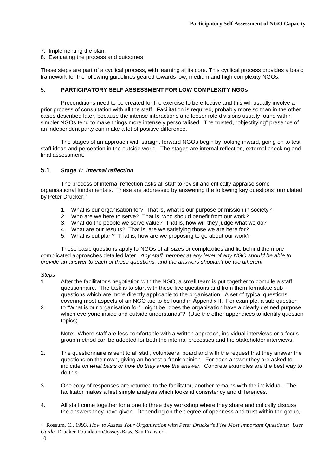# 7. Implementing the plan.

8. Evaluating the process and outcomes

These steps are part of a cyclical process, with learning at its core. This cyclical process provides a basic framework for the following guidelines geared towards low, medium and high complexity NGOs.

# 5. **PARTICIPATORY SELF ASSESSMENT FOR LOW COMPLEXITY NGOs**

 Preconditions need to be created for the exercise to be effective and this will usually involve a prior process of consultation with all the staff. Facilitation is required, probably more so than in the other cases described later, because the intense interactions and looser role divisions usually found within simpler NGOs tend to make things more intensely personalised. The trusted, "objectifying" presence of an independent party can make a lot of positive difference.

 The stages of an approach with straight-forward NGOs begin by looking inward, going on to test staff ideas and perception in the outside world. The stages are internal reflection, external checking and final assessment.

# 5.1 *Stage 1: Internal reflection*

 The process of internal reflection asks all staff to revisit and critically appraise some organisational fundamentals. These are addressed by answering the following key questions formulated by Peter Drucker:<sup>8</sup>

- 1. What is our organisation for? That is, what is our purpose or mission in society?
- 2. Who are we here to serve? That is, who should benefit from our work?
- 3. What do the people we serve value? That is, how will they judge what we do?
- 4. What are our results? That is, are we satisfying those we are here for?
- 5. What is out plan? That is, how are we proposing to go about our work?

 These basic questions apply to NGOs of all sizes or complexities and lie behind the more complicated approaches detailed later. *Any staff member at any level of any NGO should be able to provide an answer to each of these questions; and the answers shouldn't be too different.*

# *Steps*

- 1. After the facilitator's negotiation with the NGO, a small team is put together to compile a staff questionnaire. The task is to start with these five questions and from them formulate subquestions which are more directly applicable to the organisation. A set of typical questions covering most aspects of an NGO are to be found in Appendix II. For example, a sub-question
- 2. to "What is our organisation for", might be "does the organisation have a clearly defined purpose which everyone inside and outside understands"? (Use the other appendices to identify question topics).

 Note: Where staff are less comfortable with a written approach, individual interviews or a focus group method can be adopted for both the internal processes and the stakeholder interviews.

- 2. The questionnaire is sent to all staff, volunteers, board and with the request that they answer the questions on their own, giving an honest a frank opinion. For each answer they are asked to indicate *on what basis or how do they know the answer.* Concrete examples are the best way to do this.
- 3. One copy of responses are returned to the facilitator, another remains with the individual. The facilitator makes a first simple analysis which looks at consistency and differences.
- 4. All staff come together for a one to three day workshop where they share and critically discuss the answers they have given. Depending on the degree of openness and trust within the group,

<sup>8</sup> Rossum, C., 1993, *How to Assess Your Organisation with Peter Drucker's Five Most Important Questions: User Guide*, Drucker Foundation/Jossey-Bass, San Fransico.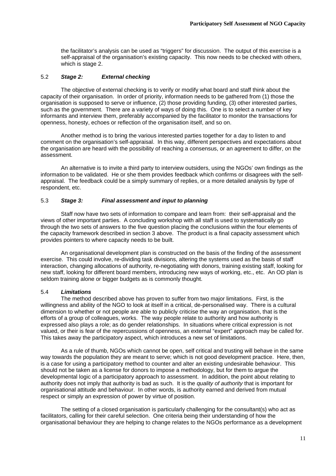the facilitator's analysis can be used as "triggers" for discussion. The output of this exercise is a self-appraisal of the organisation's existing capacity. This now needs to be checked with others, which is stage 2.

# 5.2 *Stage 2: External checking*

 The objective of external checking is to verify or modify what board and staff think about the capacity of their organisation. In order of priority, information needs to be gathered from (1) those the organisation is supposed to serve or influence, (2) those providing funding, (3) other interested parties, such as the government. There are a variety of ways of doing this. One is to select a number of key informants and interview them, preferably accompanied by the facilitator to monitor the transactions for openness, honesty, echoes or reflection of the organisation itself, and so on.

 Another method is to bring the various interested parties together for a day to listen to and comment on the organisation's self-appraisal. In this way, different perspectives and expectations about the organisation are heard with the possibility of reaching a consensus, or an agreement to differ, on the assessment.

 An alternative is to invite a third party to interview outsiders, using the NGOs' own findings as the information to be validated. He or she them provides feedback which confirms or disagrees with the selfappraisal. The feedback could be a simply summary of replies, or a more detailed analysis by type of respondent, etc.

# 5.3 *Stage 3: Final assessment and input to planning*

 Staff now have two sets of information to compare and learn from: their self-appraisal and the views of other important parties. A concluding workshop with all staff is used to systematically go through the two sets of answers to the five question placing the conclusions within the four elements of the capacity framework described in section 3 above. The product is a final capacity assessment which provides pointers to where capacity needs to be built.

 An organisational development plan is constructed on the basis of the finding of the assessment exercise. This could involve, re-dividing task divisions, altering the systems used as the basis of staff interaction, changing allocations of authority, re-negotiating with donors, training existing staff, looking for new staff, looking for different board members, introducing new ways of working, etc., etc. An OD plan is seldom training alone or bigger budgets as is commonly thought.

# 5.4 *Limitations*

 The method described above has proven to suffer from two major limitations. First, is the willingness and ability of the NGO to look at itself in a critical, de-personalised way. There is a cultural dimension to whether or not people are able to publicly criticise the way an organisation, that is the efforts of a group of colleagues, works. The way people relate to authority and how authority is expressed also plays a role; as do gender relationships. In situations where critical expression is not valued, or their is fear of the repercussions of openness, an external "expert" approach may be called for. This takes away the participatory aspect, which introduces a new set of limitations.

 As a rule of thumb, NGOs which cannot be open, self critical and trusting will behave in the same way towards the population they are meant to serve; which is not good development practice. Here, then, is a case for using a participatory method to counter and alter an existing undesirable behaviour. This should not be taken as a license for donors to impose a methodology, but for them to argue the developmental logic of a participatory approach to assessment. In addition, the point about relating to authority does not imply that authority is bad as such. It is the *quality of authority* that is important for organisational attitude and behaviour. In other words, is authority earned and derived from mutual respect or simply an expression of power by virtue of position.

 The setting of a closed organisation is particularly challenging for the consultant(s) who act as facilitators, calling for their careful selection. One criteria being their understanding of how the organisational behaviour they are helping to change relates to the NGOs performance as a development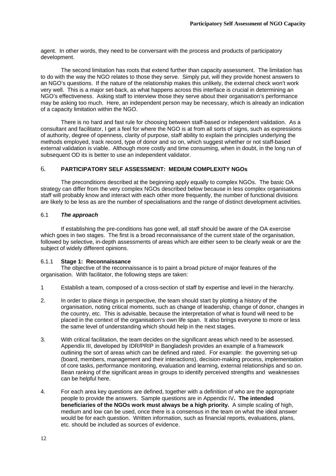agent. In other words, they need to be conversant with the process and products of participatory development.

 The second limitation has roots that extend further than capacity assessment. The limitation has to do with the way the NGO relates to those they serve. Simply put, will they provide honest answers to an NGO's questions. If the nature of the relationship makes this unlikely, the external check won't work very well. This is a major set-back, as what happens across this interface is crucial in determining an NGO's effectiveness. Asking staff to interview those they serve about their organisation's performance may be asking too much. Here, an independent person may be necessary, which is already an indication of a capacity limitation within the NGO.

 There is no hard and fast rule for choosing between staff-based or independent validation. As a consultant and facilitator, I get a feel for where the NGO is at from all sorts of signs, such as expressions of authority, degree of openness, clarity of purpose, staff ability to explain the principles underlying the methods employed, track record, type of donor and so on, which suggest whether or not staff-based external validation is viable. Although more costly and time consuming, when in doubt, in the long run of subsequent OD its is better to use an independent validator.

# 6. **PARTICIPATORY SELF ASSESSMENT: MEDIUM COMPLEXITY NGOs**

 The preconditions described at the beginning apply equally to complex NGOs. The basic OA strategy can differ from the very complex NGOs described below because in less complex organisations staff will probably know and interact with each other more frequently, the number of functional divisions are likely to be less as are the number of specialisations and the range of distinct development activities.

# 6.1 *The approach*

 If establishing the pre-conditions has gone well, all staff should be aware of the OA exercise which goes in two stages. The first is a broad reconnaissance of the current state of the organisation, followed by selective, in-depth assessments of areas which are either seen to be clearly weak or are the subject of widely different opinions.

# 6.1.1 **Stage 1: Reconnaissance**

 The objective of the reconnaissance is to paint a broad picture of major features of the organisation. With facilitator, the following steps are taken:

- 1 Establish a team, composed of a cross-section of staff by expertise and level in the hierarchy.
- 2. In order to place things in perspective, the team should start by plotting a history of the organisation, noting critical moments, such as change of leadership, change of donor, changes in the country, etc. This is advisable, because the interpretation of what is found will need to be placed in the context of the organisation's own life span. It also brings everyone to more or less the same level of understanding which should help in the next stages.
- 3. With critical facilitation, the team decides on the significant areas which need to be assessed. Appendix III, developed by IDR/PRIP in Bangladesh provides an example of a framework outlining the sort of areas which can be defined and rated. For example: the governing set-up (board, members, management and their interactions), decision-making process, implementation of core tasks, performance monitoring, evaluation and learning, external relationships and so on. Bean ranking of the significant areas in groups to identify perceived strengths and weaknesses can be helpful here.
- 4. For each area key questions are defined, together with a definition of who are the appropriate people to provide the answers. Sample questions are in Appendix IV**. The intended beneficiaries of the NGOs work must always be a high priority.** A simple scaling of high, medium and low can be used, once there is a consensus in the team on what the ideal answer would be for each question. Written information, such as financial reports, evaluations, plans, etc. should be included as sources of evidence.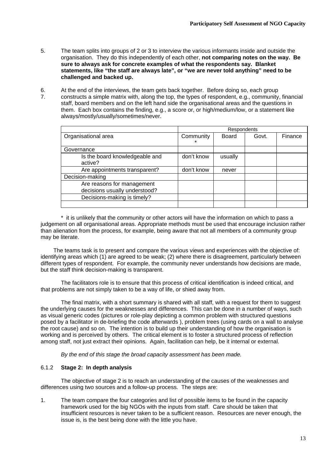- 5. The team splits into groups of 2 or 3 to interview the various informants inside and outside the organisation. They do this independently of each other, **not comparing notes on the way. Be sure to always ask for concrete examples of what the respondents say. Blanket statements, like "the staff are always late", or "we are never told anything" need to be challenged and backed up.**
- 6. At the end of the interviews, the team gets back together. Before doing so, each group 7. constructs a simple matrix with, along the top, the types of respondent, e.g., community, financial staff, board members and on the left hand side the organisational areas and the questions in them. Each box contains the finding, e.g., a score or, or high/medium/low, or a statement like always/mostly/usually/sometimes/never.

|                                | <b>Respondents</b> |         |       |         |  |  |  |  |  |  |  |
|--------------------------------|--------------------|---------|-------|---------|--|--|--|--|--|--|--|
| Organisational area            | Community          | Board   | Govt. | Finance |  |  |  |  |  |  |  |
|                                | $\star$            |         |       |         |  |  |  |  |  |  |  |
| Governance                     |                    |         |       |         |  |  |  |  |  |  |  |
| Is the board knowledgeable and | don't know         | usually |       |         |  |  |  |  |  |  |  |
| active?                        |                    |         |       |         |  |  |  |  |  |  |  |
| Are appointments transparent?  | don't know         | never   |       |         |  |  |  |  |  |  |  |
| Decision-making                |                    |         |       |         |  |  |  |  |  |  |  |
| Are reasons for management     |                    |         |       |         |  |  |  |  |  |  |  |
| decisions usually understood?  |                    |         |       |         |  |  |  |  |  |  |  |
| Decisions-making is timely?    |                    |         |       |         |  |  |  |  |  |  |  |
|                                |                    |         |       |         |  |  |  |  |  |  |  |

 \* it is unlikely that the community or other actors will have the information on which to pass a judgement on all organisational areas. Appropriate methods must be used that encourage inclusion rather than alienation from the process, for example, being aware that not all members of a community group may be literate.

 The teams task is to present and compare the various views and experiences with the objective of: identifying areas which (1) are agreed to be weak; (2) where there is disagreement, particularly between different types of respondent. For example, the community never understands how decisions are made, but the staff think decision-making is transparent.

 The facilitators role is to ensure that this process of critical identification is indeed critical, and that problems are not simply taken to be a way of life, or shied away from.

 The final matrix, with a short summary is shared with all staff, with a request for them to suggest the underlying causes for the weaknesses and differences. This can be done in a number of ways, such as visual generic codes (pictures or role-play depicting a common problem with structured questions posed by a facilitator in de-briefing the code afterwards ), problem trees (using cards on a wall to analyse the root cause) and so on. The intention is to build up their understanding of how the organisation is working and is perceived by others. The critical element is to foster a structured process of reflection among staff, not just extract their opinions. Again, facilitation can help, be it internal or external.

*By the end of this stage the broad capacity assessment has been made.* 

# 6.1.2 **Stage 2: In depth analysis**

The objective of stage 2 is to reach an understanding of the causes of the weaknesses and differences using two sources and a follow-up process. The steps are:

1. The team compare the four categories and list of possible items to be found in the capacity framework used for the big NGOs with the inputs from staff. Care should be taken that insufficient resources is never taken to be a sufficient reason. Resources are never enough, the issue is, is the best being done with the little you have.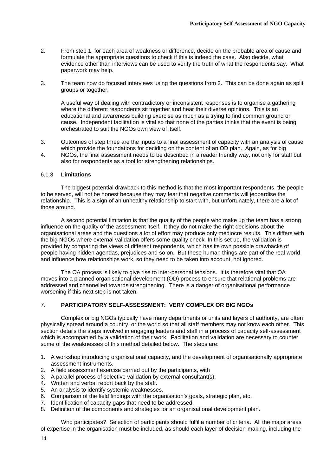- 2. From step 1, for each area of weakness or difference, decide on the probable area of cause and formulate the appropriate questions to check if this is indeed the case. Also decide, what evidence other than interviews can be used to verify the truth of what the respondents say. What paperwork may help.
- 3. The team now do focused interviews using the questions from 2. This can be done again as split groups or together.

 A useful way of dealing with contradictory or inconsistent responses is to organise a gathering where the different respondents sit together and hear their diverse opinions. This is an educational and awareness building exercise as much as a trying to find common ground or cause. Independent facilitation is vital so that none of the parties thinks that the event is being orchestrated to suit the NGOs own view of itself.

- 3. Outcomes of step three are the inputs to a final assessment of capacity with an analysis of cause which provide the foundations for deciding on the content of an OD plan. Again, as for big
- 4. NGOs, the final assessment needs to be described in a reader friendly way, not only for staff but also for respondents as a tool for strengthening relationships.

# 6.1.3 **Limitations**

 The biggest potential drawback to this method is that the most important respondents, the people to be served, will not be honest because they may fear that negative comments will jeopardise the relationship. This is a sign of an unhealthy relationship to start with, but unfortunately, there are a lot of those around.

 A second potential limitation is that the quality of the people who make up the team has a strong influence on the quality of the assessment itself. It they do not make the right decisions about the organisational areas and the questions a lot of effort may produce only mediocre results. This differs with the big NGOs where external validation offers some quality check. In this set up, the validation is provided by comparing the views of different respondents, which has its own possible drawbacks of people having hidden agendas, prejudices and so on. But these human things are part of the real world and influence how relationships work, so they need to be taken into account, not ignored.

 The OA process is likely to give rise to inter-personal tensions. It is therefore vital that OA moves into a planned organisational development (OD) process to ensure that relational problems are addressed and channelled towards strengthening. There is a danger of organisational performance worsening if this next step is not taken.

# 7. **PARTICIPATORY SELF-ASSESSMENT: VERY COMPLEX OR BIG NGOs**

 Complex or big NGOs typically have many departments or units and layers of authority, are often physically spread around a country, or the world so that all staff members may not know each other. This section details the steps involved in engaging leaders and staff in a process of capacity self-assessment which is accompanied by a validation of their work. Facilitation and validation are necessary to counter some of the weaknesses of this method detailed below. The steps are:

- 1. A workshop introducing organisational capacity, and the development of organisationally appropriate assessment instruments.
- 2. A field assessment exercise carried out by the participants, with
- 3. A parallel process of selective validation by external consultant(s).
- 4. Written and verbal report back by the staff.
- 5. An analysis to identify systemic weaknesses.
- 6. Comparison of the field findings with the organisation's goals, strategic plan, etc.
- 7. Identification of capacity gaps that need to be addressed.
- 8. Definition of the components and strategies for an organisational development plan.

 Who participates? Selection of participants should fulfil a number of criteria. All the major areas of expertise in the organisation must be included, as should each layer of decision-making, including the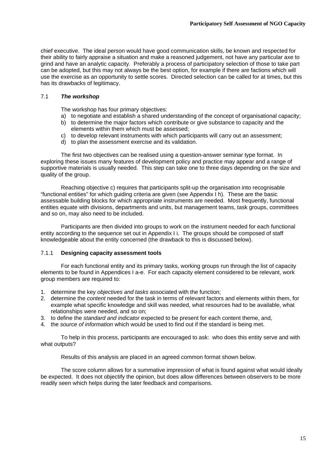chief executive. The ideal person would have good communication skills, be known and respected for their ability to fairly appraise a situation and make a reasoned judgement, not have any particular axe to grind and have an analytic capacity. Preferably a process of participatory selection of those to take part can be adopted, but this may not always be the best option, for example if there are factions which will use the exercise as an opportunity to settle scores. Directed selection can be called for at times, but this has its drawbacks of legitimacy.

# 7.1 *The workshop*

The workshop has four primary objectives:

- a) to negotiate and establish a shared understanding of the concept of organisational capacity;
- b) to determine the major factors which contribute or give substance to capacity and the elements within them which must be assessed;
- c) to develop relevant instruments with which participants will carry out an assessment;
- d) to plan the assessment exercise and its validation.

 The first two objectives can be realised using a question-answer seminar type format. In exploring these issues many features of development policy and practice may appear and a range of supportive materials is usually needed. This step can take one to three days depending on the size and quality of the group.

 Reaching objective c) requires that participants split-up the organisation into recognisable "functional entities" for which guiding criteria are given (see Appendix I h). These are the basic assessable building blocks for which appropriate instruments are needed. Most frequently, functional entities equate with divisions, departments and units, but management teams, task groups, committees and so on, may also need to be included.

 Participants are then divided into groups to work on the instrument needed for each functional entity according to the sequence set out in Appendix I i. The groups should be composed of staff knowledgeable about the entity concerned (the drawback to this is discussed below).

# 7.1.1 **Designing capacity assessment tools**

 For each functional entity and its primary tasks, working groups run through the list of capacity elements to be found in Appendices I a-e. For each capacity element considered to be relevant, work group members are required to:

- 1. determine the key *objectives and tasks* associated with the function;
- 2. determine the *content* needed for the task in terms of relevant factors and elements within them, for example what specific knowledge and skill was needed, what resources had to be available, what relationships were needed, and so on;
- 3. to define the *standard and indicator* expected to be present for each content theme, and,
- 4. the *source of information* which would be used to find out if the standard is being met.

 To help in this process, participants are encouraged to ask: who does this entity serve and with what outputs?

Results of this analysis are placed in an agreed common format shown below.

 The score column allows for a summative impression of what is found against what would ideally be expected. It does not objectify the opinion, but does allow differences between observers to be more readily seen which helps during the later feedback and comparisons.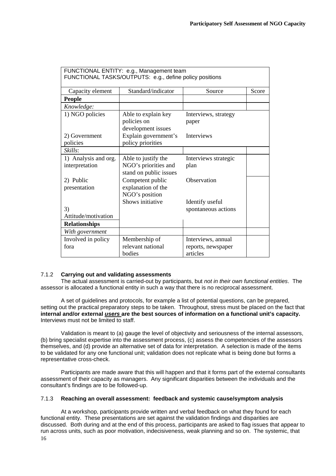| FUNCTIONAL ENTITY: e.g., Management team<br>FUNCTIONAL TASKS/OUTPUTS: e.g., define policy positions |                                                                       |                                                      |       |  |  |  |  |  |  |  |  |
|-----------------------------------------------------------------------------------------------------|-----------------------------------------------------------------------|------------------------------------------------------|-------|--|--|--|--|--|--|--|--|
| Capacity element                                                                                    | Standard/indicator                                                    | Source                                               | Score |  |  |  |  |  |  |  |  |
| <b>People</b>                                                                                       |                                                                       |                                                      |       |  |  |  |  |  |  |  |  |
| Knowledge:                                                                                          |                                                                       |                                                      |       |  |  |  |  |  |  |  |  |
| 1) NGO policies                                                                                     | Able to explain key<br>policies on<br>development issues              | Interviews, strategy<br>paper                        |       |  |  |  |  |  |  |  |  |
| 2) Government                                                                                       | Explain government's                                                  | Interviews                                           |       |  |  |  |  |  |  |  |  |
| policies<br>Skills:                                                                                 | policy priorities                                                     |                                                      |       |  |  |  |  |  |  |  |  |
|                                                                                                     |                                                                       |                                                      |       |  |  |  |  |  |  |  |  |
| 1) Analysis and org.<br>interpretation                                                              | Able to justify the<br>NGO's priorities and<br>stand on public issues | Interviews strategic<br>plan                         |       |  |  |  |  |  |  |  |  |
| 2) Public<br>presentation                                                                           | Competent public<br>explanation of the<br>NGO's position              | Observation                                          |       |  |  |  |  |  |  |  |  |
| 3)                                                                                                  | Shows initiative                                                      | Identify useful<br>spontaneous actions               |       |  |  |  |  |  |  |  |  |
| Attitude/motivation                                                                                 |                                                                       |                                                      |       |  |  |  |  |  |  |  |  |
| <b>Relationships</b>                                                                                |                                                                       |                                                      |       |  |  |  |  |  |  |  |  |
| With government                                                                                     |                                                                       |                                                      |       |  |  |  |  |  |  |  |  |
| Involved in policy<br>fora                                                                          | Membership of<br>relevant national<br>bodies                          | Interviews, annual<br>reports, newspaper<br>articles |       |  |  |  |  |  |  |  |  |

# 7.1.2 **Carrying out and validating assessments**

 The actual assessment is carried-out by participants, but *not in their own functional entities*. The assessor is allocated a functional entity in such a way that there is no reciprocal assessment.

 A set of guidelines and protocols, for example a list of potential questions, can be prepared, setting out the practical preparatory steps to be taken. Throughout, stress must be placed on the fact that **internal and/or external** *users* **are the best sources of information on a functional unit's capacity.** Interviews must not be limited to staff.

 Validation is meant to (a) gauge the level of objectivity and seriousness of the internal assessors, (b) bring specialist expertise into the assessment process, (c) assess the competencies of the assessors themselves, and (d) provide an alternative set of data for interpretation. A selection is made of the items to be validated for any one functional unit; validation does not replicate what is being done but forms a representative cross-check.

 Participants are made aware that this will happen and that it forms part of the external consultants assessment of their capacity as managers. Any significant disparities between the individuals and the consultant's findings are to be followed-up.

# 7.1.3 **Reaching an overall assessment: feedback and systemic cause/symptom analysis**

16 At a workshop, participants provide written and verbal feedback on what they found for each functional entity. These presentations are set against the validation findings and disparities are discussed. Both during and at the end of this process, participants are asked to flag issues that appear to run across units, such as poor motivation, indecisiveness, weak planning and so on. The systemic, that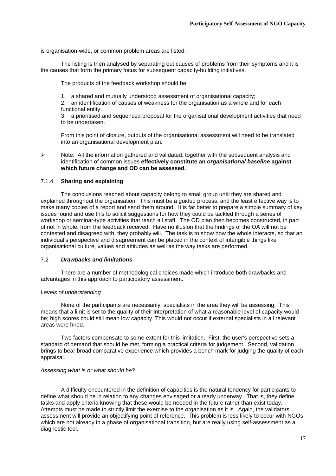is organisation-wide, or common problem areas are listed.

 The listing is then analysed by separating out causes of problems from their symptoms and it is the causes that form the primary focus for subsequent capacity-building initiatives.

The products of the feedback workshop should be:

1. a shared and mutually understood assessment of organisational capacity;

 2. an identification of causes of weakness for the organisation as a whole and for each functional entity;

 3. a prioritised and sequenced proposal for the organisational development activities that need to be undertaken.

 From this point of closure, outputs of the organisational assessment will need to be translated into an organisational development plan.

 $\triangleright$  Note: All the information gathered and validated, together with the subsequent analysis and identification of common issues **effectively constitute an** *organisational baseline* **against which future change and OD can be assessed.**

# 7.1.4 **Sharing and explaining**

 The conclusions reached about capacity belong to small group until they are shared and explained throughout the organisation. This must be a guided process, and the least effective way is to make many copies of a report and send them around. It is far better to prepare a simple summary of key issues found and use this to solicit suggestions for how they could be tackled through a series of workshop or seminar-type activities that reach all staff. The OD plan then becomes constructed, in part of not in whole, from the feedback received. Have no illusion that the findings of the OA will not be contested and disagreed with, they probably will. The task is to show how the whole interacts, so that an individual's perspective and disagreement can be placed in the context of intangible things like organisational culture, values and attitudes as well as the way tasks are performed.

# 7.2 *Drawbacks and limitations*

 There are a number of methodological choices made which introduce both drawbacks and advantages in this approach to participatory assessment.

# *Levels of understanding*

 None of the participants are necessarily specialists in the area they will be assessing. This means that a limit is set to the quality of their interpretation of what a reasonable level of capacity would be; high scores could still mean low capacity This would not occur if external specialists in all relevant areas were hired.

 Two factors compensate to some extent for this limitation. First, the user's perspective sets a standard of demand that should be met, forming a practical criteria for judgement. Second, validation brings to bear broad comparative experience which provides a bench mark for judging the quality of each appraisal.

# *Assessing what is or what should be*?

 A difficulty encountered in the definition of capacities is the natural tendency for participants to define what should be in relation to any changes envisaged or already underway. That is, they define tasks and apply criteria knowing that these would be needed in the future rather than exist today. Attempts must be made to strictly limit the exercise to the organisation as it is. Again, the validators assessment will provide an objectifying point of reference. This problem is less likely to occur with NGOs which are not already in a phase of organisational transition, but are really using self-assessment as a diagnostic tool.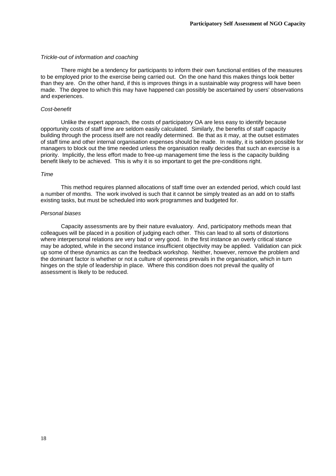## *Trickle-out of information and coaching*

 There might be a tendency for participants to inform their own functional entities of the measures to be employed prior to the exercise being carried out. On the one hand this makes things look better than they are. On the other hand, if this is improves things in a sustainable way progress will have been made. The degree to which this may have happened can possibly be ascertained by users' observations and experiences.

# *Cost-benefit*

 Unlike the expert approach, the costs of participatory OA are less easy to identify because opportunity costs of staff time are seldom easily calculated. Similarly, the benefits of staff capacity building through the process itself are not readily determined. Be that as it may, at the outset estimates of staff time and other internal organisation expenses should be made. In reality, it is seldom possible for managers to block out the time needed unless the organisation really decides that such an exercise is a priority. Implicitly, the less effort made to free-up management time the less is the capacity building benefit likely to be achieved. This is why it is so important to get the pre-conditions right.

#### *Time*

 This method requires planned allocations of staff time over an extended period, which could last a number of months. The work involved is such that it cannot be simply treated as an add on to staffs existing tasks, but must be scheduled into work programmes and budgeted for.

# *Personal biases*

 Capacity assessments are by their nature evaluatory. And, participatory methods mean that colleagues will be placed in a position of judging each other. This can lead to all sorts of distortions where interpersonal relations are very bad or very good. In the first instance an overly critical stance may be adopted, while in the second instance insufficient objectivity may be applied. Validation can pick up some of these dynamics as can the feedback workshop. Neither, however, remove the problem and the dominant factor is whether or not a culture of openness prevails in the organisation, which in turn hinges on the style of leadership in place. Where this condition does not prevail the quality of assessment is likely to be reduced.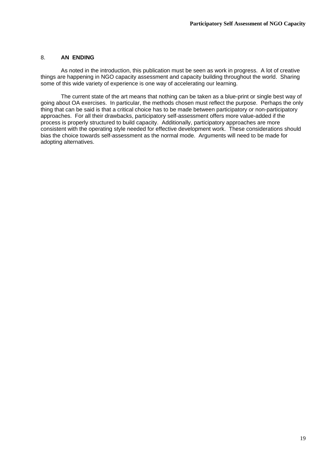# 8. **AN ENDING**

 As noted in the introduction, this publication must be seen as work in progress. A lot of creative things are happening in NGO capacity assessment and capacity building throughout the world. Sharing some of this wide variety of experience is one way of accelerating our learning.

 The current state of the art means that nothing can be taken as a blue-print or single best way of going about OA exercises. In particular, the methods chosen must reflect the purpose. Perhaps the only thing that can be said is that a critical choice has to be made between participatory or non-participatory approaches. For all their drawbacks, participatory self-assessment offers more value-added if the process is properly structured to build capacity. Additionally, participatory approaches are more consistent with the operating style needed for effective development work. These considerations should bias the choice towards self-assessment as the normal mode. Arguments will need to be made for adopting alternatives.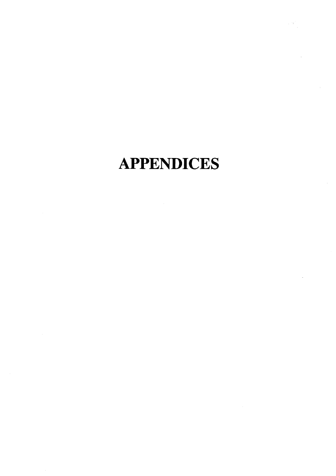# **APPENDICES**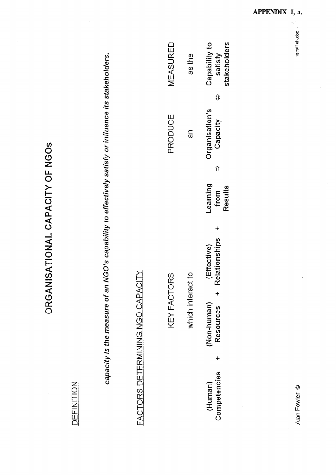| くくこ レく ことくてょく |
|---------------|
|               |
|               |
|               |
|               |
|               |
|               |
| こくこく ディクラス    |
| ۰.<br>۲       |
| こくしく<br>i     |
|               |

# **DEFINITION**

capacity is the measure of an NGO's capability to effectively satisfy or influence its stakeholders.

# FACTORS DETERMINING NGO CAPACITY

# KEY FACTORS

MEASURED

PRODUCE

| as the            | stakeholders<br>Capability to<br>satisfy |
|-------------------|------------------------------------------|
| an                | ⇕<br>Organisation's<br>Capacity          |
|                   | ⇧                                        |
|                   | Learning<br>Results<br>from              |
|                   |                                          |
|                   | Relationships +<br>Effective             |
|                   | $\ddagger$                               |
| which interact to | <b>Resources</b><br>Non-human)           |
|                   | $\ddot{}$                                |
|                   | Competencies<br>(Human)                  |

Alan Fowler ©

ngcaf1oh.doc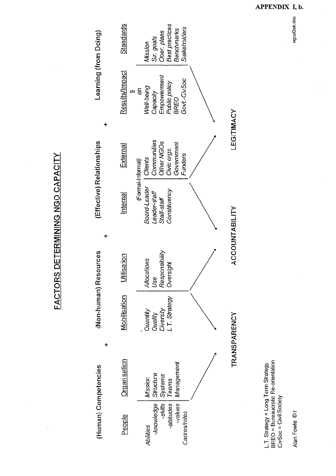

APPENDIX I, b.

ngcaf2oh.doc

Alan Fowle ©r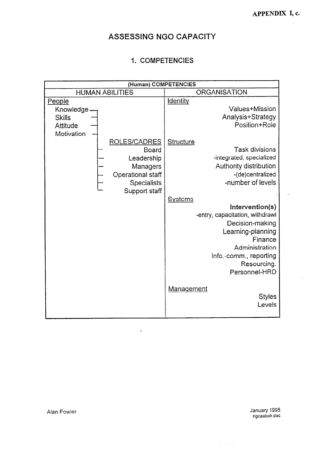$\mathbb{Z}_p$ 

 $\hat{\mathcal{A}}$ 

# ASSESSING NGO CAPACITY

# 1. COMPETENCIES

| (Human) COMPETENCIES                                                                                                                                                          |                                                                                                                                                                                                                                                                                                                                                                                                                                                                     |
|-------------------------------------------------------------------------------------------------------------------------------------------------------------------------------|---------------------------------------------------------------------------------------------------------------------------------------------------------------------------------------------------------------------------------------------------------------------------------------------------------------------------------------------------------------------------------------------------------------------------------------------------------------------|
| <b>HUMAN ABILITIES</b>                                                                                                                                                        | <b>ORGANISATION</b>                                                                                                                                                                                                                                                                                                                                                                                                                                                 |
| People<br>Knowledge<br><b>Skills</b><br>Attitude<br>Motivation<br>ROLES/CADRES<br>Board<br>Leadership<br>Managers<br>Operational staff<br><b>Specialists</b><br>Support staff | <b>Identity</b><br>Values+Mission<br>Analysis+Strategy<br>Position+Role<br><b>Structure</b><br><b>Task divisions</b><br>-integrated, specialized<br>Authority distribution<br>-(de)centralized<br>-number of levels<br><b>Systems</b><br>Intervention(s)<br>-entry, capacitation, withdrawl<br>Decision-making<br>Learning-planning<br>Finance<br>Administration<br>Info.-comm., reporting<br>Resourcing.<br>Personnel-HRD<br>Management<br><b>Styles</b><br>Levels |

 $\mathbf{r}$ 

January 1995<br>ngcaaboh.doc

Alan Fowler

 $\hat{u}^{\dagger}$  ,  $\hat{u}^{\dagger}$  ,  $\hat{u}^{\dagger}$  ,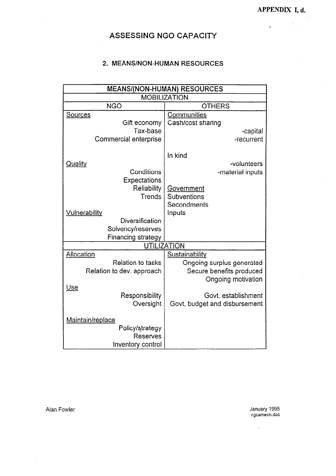$\mathbf{v}^{\dagger}$ 

 $\sim 10^{10}$ 

l,

# ASSESSING NGO CAPACITY

# 2. MEANS/NON-HUMAN RESOURCES

|                           | <b>MEANS/(NON-HUMAN) RESOURCES</b> |
|---------------------------|------------------------------------|
|                           | <b>MOBILIZATION</b>                |
| <b>NGO</b>                | <b>OTHERS</b>                      |
| <b>Sources</b>            | <b>Communities</b>                 |
| Gift economy              | Cash/cost sharing                  |
| Tax-base                  | -capital                           |
| Commercial enterprise     | -recurrent                         |
|                           |                                    |
|                           | In kind                            |
| <u>Quality</u>            | -volunteers                        |
| Conditions                | -material inputs                   |
| Expectations              |                                    |
| Reliability               | <u>Government</u>                  |
| Trends                    | Subventions                        |
|                           | Secondments                        |
| <b>Vulnerability</b>      | Inputs                             |
| Diversification           |                                    |
| Solvency/reserves         |                                    |
| <b>Financing strategy</b> |                                    |
|                           | <b>UTILIZATION</b>                 |
| Allocation                | Sustainability                     |
| <b>Relation to tasks</b>  | Ongoing surplus generated          |
| Relation to dev. approach | Secure benefits produced           |
|                           | Ongoing motivation                 |
| Use                       |                                    |
| Responsibility            | Govt. establishment                |
| Oversight                 | Govt, budget and disbursement      |
|                           |                                    |
| Maintain/replace          |                                    |
| Policy/strategy           |                                    |
| Reserves                  |                                    |
| Inventory control         |                                    |

 $\frac{1}{2}$ 

Alan Fowler

 $\ddot{\phantom{a}}$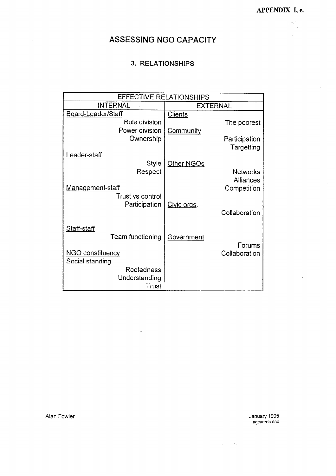, ap  $\bar{\gamma}$  $\bar{z}$ 

# ASSESSING NGO CAPACITY

# 3. RELATIONSHIPS

| <b>EFFECTIVE RELATIONSHIPS</b><br><b>INTERNAL</b><br><b>EXTERNAL</b><br>Board-Leader/Staff<br><b>Clients</b><br>Role division<br>The poorest<br>Power division<br>Community<br>Ownership<br>Participation<br>Targetting<br>.eader-staff<br>Style<br>Other NGOs<br>Respect<br><b>Networks</b><br><b>Alliances</b><br><b>Management-staff</b><br>Competition<br>Trust vs control<br>Participation<br>Civic orgs.<br>Collaboration<br>Staff-staff<br>Team functioning<br>Government<br>Forums<br><b>NGO constituency</b><br>Collaboration<br>Social standing<br>Rootedness<br>Understanding |       |  |
|------------------------------------------------------------------------------------------------------------------------------------------------------------------------------------------------------------------------------------------------------------------------------------------------------------------------------------------------------------------------------------------------------------------------------------------------------------------------------------------------------------------------------------------------------------------------------------------|-------|--|
|                                                                                                                                                                                                                                                                                                                                                                                                                                                                                                                                                                                          |       |  |
|                                                                                                                                                                                                                                                                                                                                                                                                                                                                                                                                                                                          |       |  |
|                                                                                                                                                                                                                                                                                                                                                                                                                                                                                                                                                                                          |       |  |
|                                                                                                                                                                                                                                                                                                                                                                                                                                                                                                                                                                                          |       |  |
|                                                                                                                                                                                                                                                                                                                                                                                                                                                                                                                                                                                          |       |  |
|                                                                                                                                                                                                                                                                                                                                                                                                                                                                                                                                                                                          |       |  |
|                                                                                                                                                                                                                                                                                                                                                                                                                                                                                                                                                                                          |       |  |
|                                                                                                                                                                                                                                                                                                                                                                                                                                                                                                                                                                                          |       |  |
|                                                                                                                                                                                                                                                                                                                                                                                                                                                                                                                                                                                          |       |  |
|                                                                                                                                                                                                                                                                                                                                                                                                                                                                                                                                                                                          |       |  |
|                                                                                                                                                                                                                                                                                                                                                                                                                                                                                                                                                                                          |       |  |
|                                                                                                                                                                                                                                                                                                                                                                                                                                                                                                                                                                                          |       |  |
|                                                                                                                                                                                                                                                                                                                                                                                                                                                                                                                                                                                          |       |  |
|                                                                                                                                                                                                                                                                                                                                                                                                                                                                                                                                                                                          |       |  |
|                                                                                                                                                                                                                                                                                                                                                                                                                                                                                                                                                                                          |       |  |
|                                                                                                                                                                                                                                                                                                                                                                                                                                                                                                                                                                                          |       |  |
|                                                                                                                                                                                                                                                                                                                                                                                                                                                                                                                                                                                          |       |  |
|                                                                                                                                                                                                                                                                                                                                                                                                                                                                                                                                                                                          |       |  |
|                                                                                                                                                                                                                                                                                                                                                                                                                                                                                                                                                                                          |       |  |
|                                                                                                                                                                                                                                                                                                                                                                                                                                                                                                                                                                                          |       |  |
|                                                                                                                                                                                                                                                                                                                                                                                                                                                                                                                                                                                          |       |  |
|                                                                                                                                                                                                                                                                                                                                                                                                                                                                                                                                                                                          |       |  |
|                                                                                                                                                                                                                                                                                                                                                                                                                                                                                                                                                                                          |       |  |
|                                                                                                                                                                                                                                                                                                                                                                                                                                                                                                                                                                                          | Trust |  |

 $\ddot{\phantom{a}}$ 

 $\ddot{\phantom{a}}$ 

January 1995<br>ngcareoh.doc

 $\Delta \sim 10^{11}$  km  $^{-1}$ 

Alan Fowler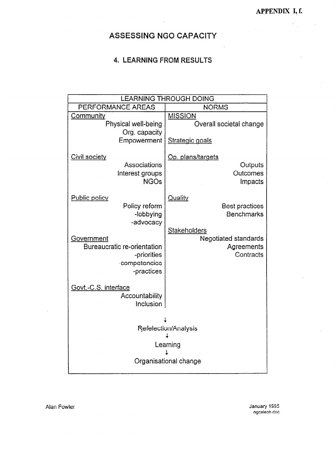# ASSESSING NGO CAPACITY

# **4. LEARNING FROM RESULTS**

|                                                                                                | <b>LEARNING THROUGH DOING</b>                                                       |
|------------------------------------------------------------------------------------------------|-------------------------------------------------------------------------------------|
| PERFORMANCE AREAS                                                                              | <b>NORMS</b>                                                                        |
| Community<br>Physical well-being<br>Org. capacity<br>Empowerment                               | <b>MISSION</b><br>Overall societal change<br>Strategic goals                        |
| Civil society<br>Associations<br>Interest groups<br><b>NGOs</b>                                | Op. plans/targets<br>Outputs<br>Outcomes<br>Impacts                                 |
| <b>Public policy</b><br>Policy reform<br>-lobbying<br>-advocacy                                | <b>Quality</b><br><b>Best practices</b><br><b>Benchmarks</b><br><b>Stakeholders</b> |
| Government<br><b>Bureaucratic re-orientation</b><br>-priorities<br>-competencies<br>-practices | <b>Negotiated standards</b><br>Agreements<br>Contracts                              |
| Govt.-C.S. interface<br>Accountability<br>Inclusion                                            |                                                                                     |
|                                                                                                | Refelection/Analysis<br>Learning<br>Organisational change                           |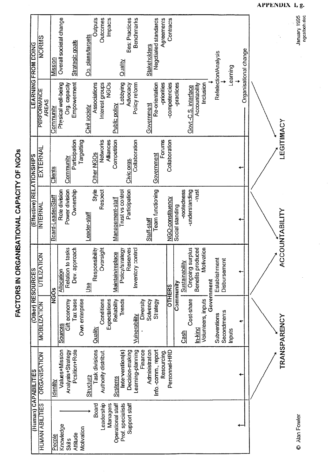| <b>LEARNING FROM DOING</b> | NORMS                  | Mission            | Overall societal change |                   | <b>Strategic goals</b> |                | Op. plans/largets | Outputs        | Outcomes             | Impacts      |                   | $\Delta$ llall $\Delta$ | Best Practices  | <b>Benchmarks</b>    |           | <b>Stakeholders</b> | Negotialed standards    | Agreements  | Contracts        |                 |                |                     |                   |                    |            | Refelection/Analysis |                        | Learning | Organisational change |  |                |
|----------------------------|------------------------|--------------------|-------------------------|-------------------|------------------------|----------------|-------------------|----------------|----------------------|--------------|-------------------|-------------------------|-----------------|----------------------|-----------|---------------------|-------------------------|-------------|------------------|-----------------|----------------|---------------------|-------------------|--------------------|------------|----------------------|------------------------|----------|-----------------------|--|----------------|
|                            | PERFORMANCE<br>AREAS   | Community          | Physical well-being     | Org. capacity     | Empowerment            |                | Civil society     | Associations   | Interest groups      | <b>NGCS</b>  | Public policy     | Lobbying                | Advocacy        | Policy reform        |           | Government          | Re-orientation          | -priorities | -competencies    | -practices      |                | Govt-C.S. interface | Accountability    | Inclusion          |            |                      |                        |          |                       |  |                |
|                            | EXTERNAL               | Clients            |                         | Community         | Participation          | Targetting     |                   | Other NGOs     | Networks             | Alliances    | Competition       |                         | Civic orgs      | Collaboration        |           |                     | Government              | Forums      | Collaboration    |                 |                |                     |                   |                    |            |                      |                        |          |                       |  | LEGITIMACY     |
| (Effective) RELATIONSHIPS  | NTERNAL                | Board-Leader/Staff | Role division           | Power division    | Ownership              |                | Leader-staff      | Style          | Respect              |              | Management-staff  | Trust vs control        | Participation   |                      |           | Staff-staff         | <b>Team functioning</b> |             | NGO-constituency | Social standing | -rootedness    | -understanding      | -trust            |                    |            |                      |                        |          |                       |  | ACCOUNTABILITY |
| <b>Other RESOURCES</b>     | NOIT<br>UTILIZA        | <b>NGOS</b>        | Allocation              | Relation to tasks | pproach<br>Dev. ap     |                | $\frac{1}{20}$    | Responsibility | Oversight            |              | Maintain/replace  | Policy/strategy         | Reserves        | control<br>Inventory |           |                     |                         |             | <b>OTHERS</b>    | Community       | Sustainability | Ongoing surplus     | Benefits produced | Motivation         | Government | Establishment        | <b>Ti</b><br>Disbursem |          |                       |  |                |
|                            | <b>MOBILIZATION</b>    |                    | <b>Sources</b>          | Gift economy      | Tax base               | Own enterprise |                   | Quality        | Conditions           | Expectations | Reliability       | Trends                  |                 | Vulnerability        | Diversity | Solvency            | Strategy                |             |                  |                 | Cash           | Cost-share          | In-kind           | Volunteers, inputs |            | Subventions          | Secondments            | Inputs   |                       |  | TRANSPARENCY   |
|                            | ORGANISATION           | ldentity           | Values+Mission          | Analysis+Strategy | Position+Role          |                | <b>Structure</b>  | Task divisions | Authority distribut. |              | <b>Systems</b>    | Intervention(s)         | Decision-making | Learning-planning    | Finance   | Administration      | Info.-comm., report     | Resourcing. | Personnel-HRD    |                 |                |                     |                   |                    |            |                      |                        |          |                       |  |                |
| (Human) CAPABILITIES       | <b>HUMAN ABILITIES</b> | People             | Knowledge               | <b>Skills</b>     | Attitude               | Motivation     |                   | Board          | Leadership           | Managers     | Operational staff | Prof. specialists       | Support staff   |                      |           |                     |                         |             |                  |                 |                |                     |                   |                    |            |                      |                        |          |                       |  |                |

FACTORS IN ORGANISATIONAL CAPACITY OF NGOS

APPENDIX 1, g. January 1995<br>ngcatboh.doc

 $\frac{1}{2}$ 

C Alan Fowler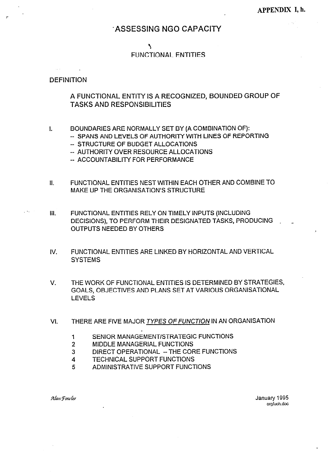# **ASSESSING NGO CAPACITY**

# $\overline{\phantom{a}}$

# **FUNCTIONAL ENTITIES**

# **DEFINITION**

# A FUNCTIONAL ENTITY IS A RECOGNIZED, BOUNDED GROUP OF **TASKS AND RESPONSIBILITIES**

- BOUNDARIES ARE NORMALLY SET BY (A COMBINATION OF):  $\mathbf{L}$ 
	- -- SPANS AND LEVELS OF AUTHORITY WITH LINES OF REPORTING
		- -- STRUCTURE OF BUDGET ALLOCATIONS
		- -- AUTHORITY OVER RESOURCE ALLOCATIONS
		- -- ACCOUNTABILITY FOR PERFORMANCE
- $II.$ FUNCTIONAL ENTITIES NEST WITHIN EACH OTHER AND COMBINE TO MAKE UP THE ORGANISATION'S STRUCTURE.
- FUNCTIONAL ENTITIES RELY ON TIMELY INPUTS (INCLUDING  $III.$ DECISIONS), TO PERFORM THEIR DESIGNATED TASKS, PRODUCING **OUTPUTS NEEDED BY OTHERS** 
	- $W<sub>1</sub>$ FUNCTIONAL ENTITIES ARE LINKED BY HORIZONTAL AND VERTICAL **SYSTEMS**
	- $\mathbf{V}$ THE WORK OF FUNCTIONAL ENTITIES IS DETERMINED BY STRATEGIES, GOALS, OBJECTIVES AND PLANS SET AT VARIOUS ORGANISATIONAL **LEVELS**
	- THERE ARE FIVE MAJOR TYPES OF FUNCTION IN AN ORGANISATION VI.
		- SENIOR MANAGEMENT/STRATEGIC FUNCTIONS  $\mathbf{1}$
		- $\overline{2}$ MIDDLE MANAGERIAL FUNCTIONS
		- $\overline{3}$ DIRECT OPERATIONAL - THE CORE FUNCTIONS
		- **TECHNICAL SUPPORT FUNCTIONS**  $\boldsymbol{4}$
		- ADMINISTRATIVE SUPPORT FUNCTIONS 5

Alan Fowler

January 1995 orgfuoh.doc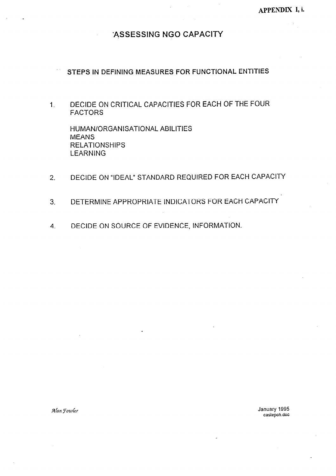# ASSESSING NGO CAPACITY

# STEPS IN DEFINING MEASURES FOR FUNCTIONAL ENTITIES

DECIDE ON CRITICAL CAPACITIES FOR EACH OF THE FOUR  $1<sub>1</sub>$ **FACTORS** 

HUMAN/ORGANISATIONAL ABILITIES **MEANS RELATIONSHIPS LEARNING** 

- DECIDE ON "IDEAL" STANDARD REQUIRED FOR EACH CAPACITY  $2<sup>1</sup>$
- DETERMINE APPROPRIATE INDICATORS FOR EACH CAPACITY  $\overline{3}$
- DECIDE ON SOURCE OF EVIDENCE, INFORMATION.  $\overline{4}$ .

Alan Fowler

January 1995 castepon.doc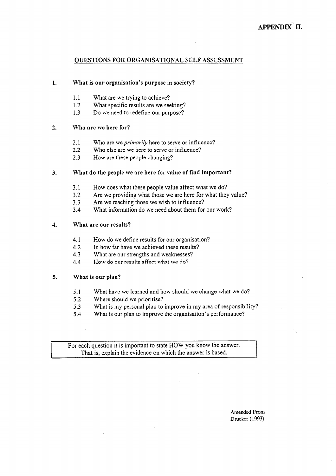# **OUESTIONS FOR ORGANISATIONAL SELF ASSESSMENT**

#### $1.$ What is our organisation's purpose in society?

- $1.1$ What are we trying to achieve?
- What specific results are we seeking?  $1.2$
- $1.3$ Do we need to redefine our purpose?

#### $2.$ Who are we here for?

- $2.1$ Who are we *primarily* here to serve or influence?
- Who else are we here to serve or influence?  $2.2$
- $2.3$ How are these people changing?

#### What do the people we are here for value of find important?  $3<sub>1</sub>$

- How does what these people value affect what we do?  $3.1$
- $3.2$ Are we providing what those we are here for what they value?
- $3.3$ Are we reaching those we wish to influence?
- What information do we need about them for our work?  $3.4$

#### $\overline{4}$ . What are our results?

- $4.1$ How do we define results for our organisation?
- 4.2 In how far have we achieved these results?
- $4.3$ What are our strengths and weaknesses?
- How do our results affect what we do?  $4.4$

#### $5.$ What is our plan?

- What have we learned and how should we change what we do?  $5.1$
- $5.2$ Where should we prioritise?
- $5.3$ What is my personal plan to improve in my area of responsibility?
- What is our plan to improve the organisation's performance?  $5.4$

For each question it is important to state HOW you know the answer. That is, explain the evidence on which the answer is based.

> Amended From Drucker (1993)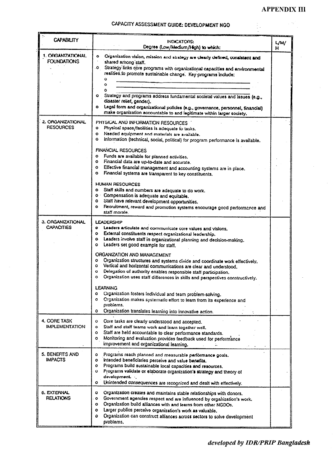# CAPACITY ASSESSMENT GUIDE: DEVELOPMENT NGO

| <b>CAPABILITY</b>                       | INDICATORS:<br>Degree (Low/Medium/High) to which:                                                                                                                                                                                                                                                                                                                                                                                                                                                                                                                                                                                                         | L/M/<br>н |
|-----------------------------------------|-----------------------------------------------------------------------------------------------------------------------------------------------------------------------------------------------------------------------------------------------------------------------------------------------------------------------------------------------------------------------------------------------------------------------------------------------------------------------------------------------------------------------------------------------------------------------------------------------------------------------------------------------------------|-----------|
| 1. ORGANIZATIONAL<br><b>FOUNDATIONS</b> | $\bullet$<br>Organization vision, mission and strategy are clearly defined, consistent and<br>shared among staff.<br>$\bullet$<br>Strategy links core programs with organizational capacities and environmental<br>realities to promote sustainable change. Key programs include:<br>O<br>۰<br>$\bullet$<br>Strategy and programs address fundamental societal values and issues (e.g.,<br>disaster relief, gender).<br>$\bullet$<br>Legal form and organizational policies (e.g., governance, personnel, financial)<br>make organization accountable to and legitimate within larger society.                                                            |           |
| 2. ORGANIZATIONAL<br><b>RESOURCES</b>   | PHYSICAL AND INFORMATION RESOURCES<br>Physical space/facilities is adequate to tasks.<br>Ó<br>Ō<br>Needed equipment and materials are available.<br>٥<br>Information (technical, social, political) for program performance is available.<br>FINANCIAL RESOURCES<br>$\bullet$<br>Funds are available for planned activities.<br>o Financial data are up-to-date and accurate.<br>$\bullet$<br>Effective financial management and accounting systems are in place.<br>Financial systems are transparent to key constituents.<br>٥                                                                                                                          |           |
|                                         | <b>HUMAN RESOURCES</b><br>Staff skills and numbers are adequate to do work.<br>o<br>o Compensation is adequate and equitable.<br>Staff have relevant development opportunities.<br>٥<br>Recruitment, reward and promotion systems encourage good performance and<br>۰<br>staff morale.                                                                                                                                                                                                                                                                                                                                                                    |           |
| 3. ORGANIZATIONAL<br><b>CAPACITIES</b>  | LEADERSHIP<br>Leaders articulate and communicate core values and visions.<br>$\bullet$<br>External constituents respect organizational leadership.<br>۰<br>Leaders involve staff in organizational planning and decision-making.<br>۰<br>Leaders set good example for staff.<br>o<br>ORGANIZATION AND MANAGEMENT<br>Organization structures and systems divide and coordinate work effectively.<br>۰<br>Vertical and horizontal communications are clear and understood.<br>٥<br>Delegation of authority enables responsible staff participation.<br>o<br>Organization uses staff differences in skills and perspectives constructively.<br>۰<br>LEAHNING |           |
|                                         | o<br>Organization fosters Individual and team problem-solving.<br>Organization makes systematic effort to learn from its experience and<br>۰<br>problems.<br>Organization translates learning into innovative action.<br>٥                                                                                                                                                                                                                                                                                                                                                                                                                                |           |
| 4. CORE TASK<br>IMPLEMENTATION          | Core tasks are clearly understood and accepted.<br>0<br>Staff and staff teams work and learn together well.<br>٥<br>٥<br>Staff are held accountable to clear performance standards.<br>Monitoring and evaluation provides feedback used for performance<br>٥<br>improvement and organizational learning.                                                                                                                                                                                                                                                                                                                                                  |           |
| 5. BENEFITS AND<br>IMPACTS              | Programs reach planned and measurable performance goals.<br>۰<br>Intended beneficiaries perceive and value benefits.<br>٥<br>Programs build sustainable local capacities and resources.<br>۰<br>Programs validate or elaborate organization's strategy and theory of<br>o<br>development<br>Unintended consequences are recognized and dealt with effectively.<br>۰                                                                                                                                                                                                                                                                                       |           |
| 6. EXTERNAL<br><b>RELATIONS</b>         | Organization creates and maintains stable relationships with donors.<br>۰<br>Government agencies respect and are influenced by organization's work.<br>۰<br>Organization build alliances with and learns from other NGDOs.<br>o<br>Larger publics perceive organization's work as valuable.<br>o<br>Organization can construct alliances across sectors to solve development<br>٥<br>problems.                                                                                                                                                                                                                                                            |           |

developed by IDR/PRIP Bangladesh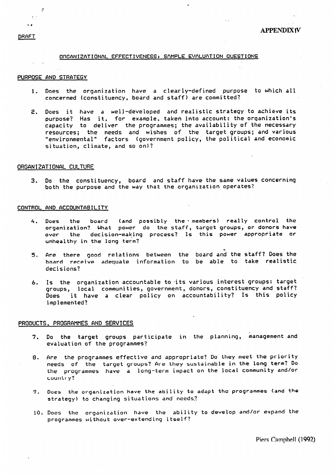# ORGANIZATIONAL EFFECTIVENESS: SAMPLE EVALUATION QUESTIONS

# PURPOSE AND STRATEGY

- 1. Does the organization have a clearly-defined purpose to which all concerned (constituency, board and staff) are committed?
- 2. Does it have a well-developed and realistic strategy to achieve its purpose? Has it, for example, taken into account: the organization's capacity to deliver the programmes; the availability of the necessary resources; the needs and wishes of the target groups; and various "environmental" factors (government policy, the political and economic situation, climate, and so on)?

### ORGANIZATIONAL CULTURE

3. Do the constituency, board and staff have the same values concerning both the purpose and the way that the organization operates?

# CONTROL AND ACCOUNTABILITY

- Does the board (and possibly the members) really control the 4. organization? What power do the staff, target groups, or donors have over the decision-making process? Is this power appropriate or unhealthy in the long term?
- 5. Are there good relations between the board and the staff? Does the board receive adequate information to be able to take realistic decisions?
- 6. Is the organization accountable to its various interest groups: target groups, local communities, government, donors, constituency and staff? Does it have a clear policy on accountability? Is this policy implemented?

### PRODUCTS, PROGRAMMES AND SERVICES

- Do the target groups participate in the planning, management and  $7.$ evaluation of the programmes?
- 8. Are the programmes effective and appropriate? Do they meet the priority needs of the target groups? Are they sustainable in the long term? Do the programmes have a long-term impact on the local community and/or country?
- 9. Does the organization have the ability to adapt the programmes (and the strategy) to changing situations and needs?
- 10. Does the organization have the ability to develop and/or expand the programmes without over-extending itself?

DRAFT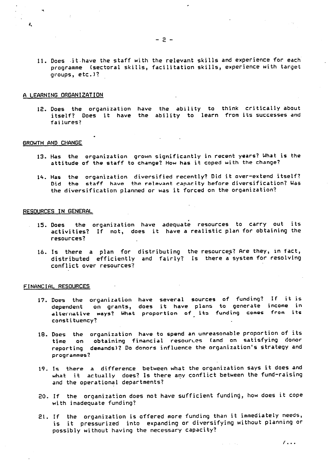- 
- 11. Does jt have the staff with the relevant skills and experience for each programme (sectoral skills, facilitation skills, experience with target  $groups, etc.$ )?

 $-2 -$ 

#### A LEARNING ORGANIZATION

12. Does the organization have the ability to think critically about itself? Does it have the ability to learn from its successes and failures?

#### GROWTH AND CHANGE

 $\lambda$ 

- 13. Has the organization grown significantly in recent years? What is the attitude of the staff to change? How has it coped with the change?
- 14. Has the organization diversified recently? Did it over-extend itself? Did the staff have the relevant capacity before diversification? Was the diversification planned or was it forced on the organization?

#### RESOURCES IN GENERAL

- 15. Does the organization have adequate resources to carry out its<br>activities? If not, does it have a realistic plan for obtaining the resources?
- 16. Is there a plan for distributing the resources? Are they, in fact, distributed efficiently and fairly? Is there a system for resolving conflict over resources?

### FINANCIAL RESOURCES

- 17. Does the organization have several sources of funding? If it is dependent on grants, does it have plans to generate income in alternative ways? What proportion of its funding comes from its constituency?
- 18. Does the organization have to spend an unreasonable proportion of its time on obtaining financial resourtes (and on satisfying donor reporting demands)? Do donors influence the organization's strategy and programmes?
- 19. Is there a difference between what the organization says it does and what it actually does? Is there any conflict between the fund-raising and the operational departments?
- 20. If the organization does not have sufficient funding, how does it cope with inadequate funding?
- 21. If the organization is offered more funding than it immediately needs, is it pressurized into expanding or diversifying without planning or possibly without having the necessary capacity?

 $\sqrt{11}$ 

 $\mathcal{L}^{\text{max}}$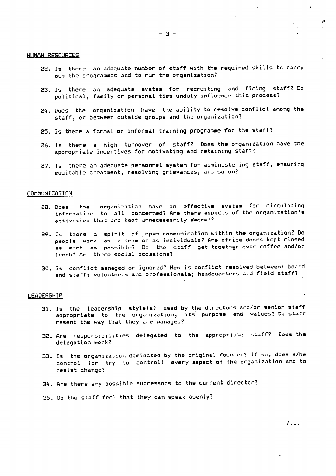## HUMAN RESOURCES

- 22. Is there an adequate number of staff with the required skills to carry out the programmes and to run the organization?
- 23. Is there an adequate system for recruiting and firing staff? Do political, family or personal ties unduly influence this process?
- 24. Does the organization have the ability to resolve conflict among the staff, or between outside groups and the organization?
- 25. Is there a formal or informal training programme for the staff?
- 26. Is there a high turnover of staff? Does the organization have the appropriate incentives for motivating and retaining staff?
- 27. Is there an adequate personnel system for administering staff, ensuring equitable treatment, resolving grievances, and so on?

#### COMMUNICATION

- organization have an effective system for circulating the 28. Does information to all concerned? Are there aspects of the organization's activities that are kept unnecessarily secret?
- 29. Is there a spirit of open communication within the organization? Do people work as a team or as individuals? Are office doors kept closed as much as possible? Do the staff get together over coffee and/or lunch? Are there social occasions?
- 30. Is conflict managed or ignored? How is conflict resolved between: board and staff; volunteers and professionals; headquarters and field staff?

# **LEADERSHIP**

- 31. Is the leadership style(s) used by the directors and/or senior staff appropriate to the organization, its purpose and values? Do staff resent the way that they are managed?
- 32. Are responsibilities delegated to the appropriate staff? Does the delegation work?
- 33. Is the organization dominated by the original founder? If so, does s/he control (or try to control) every aspect of the organization and to resist change?
- 34. Are there any possible successors to the current director?
- 35. Do the staff feel that they can speak openly?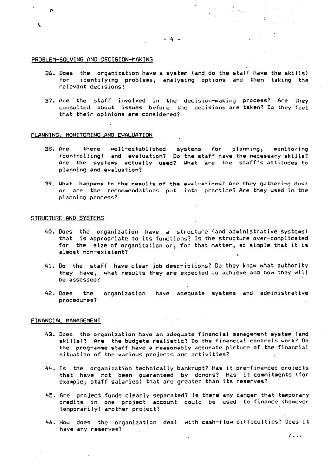# PROBLEM-SOLVING AND DECISION-MAKING

 $\mathbf{a}$ 

 $\triangle$ 

- 36. Does the organization have a system (and do the staff have the skills) for identifying problems, analysing options and then taking the relevant decisions?
- 37. Are the staff involved in the decision-making process? Are they consulted about issues before the decisions are taken? Do they feel that their opinions are considered?

# PLANNING, MONITORING AND EVALUATION

- Are there well-established systems for planning, monitoring<br>(controlling) and evaluation? Do the-staff-have-the-necessary-skills? 38. Are Are the systems actually used? What are the staff's attitudes to planning and evaluation?
- 39. What happens to the results of the evaluations? Are they gathering dust or are the recommendations put into practice? Are they used in the planning process?

# STRUCTURE AND SYSTEMS

- 40. Does the organization have a structure (and administrative systems) that is appropriate to its functions? Is the structure over-complicated for the size of organization or, for that matter, so simple that it is almost non-existent?
- 41. Do the staff have clear job descriptions? Do they know what authority they have, what results they are expected to achieve and how they will be assessed?
- 42. Does the organization have adequate systems and administrative procedures?

#### FINANCIAL MANAGEMENT

- 43. Does the organization have an adequate financial management system (and skills)? Are the budgets realistic? Do the financial controls work? Do the programme staff have a reasonably accurate picture of the financial situation of the various projects and activities?
- 44. Is the organization technically bankrupt? Has it pre-financed projects that have not been guaranteed by donors? Has it commitments (for example, staff salaries) that are greater than its reserves?
- 45. Are project funds clearly separated? Is there any danger that temporary credits in one project account could be used to finance (however temporarily) another project?
- 46. How does the organization deal with cash-flow difficulties? Does it have any reserves?  $\mathcal{L}_{\mathcal{L}}$

 $\overline{1}$ ...

an an Albanya.<br>Tanah sahiji désa di kacamatan Sulawan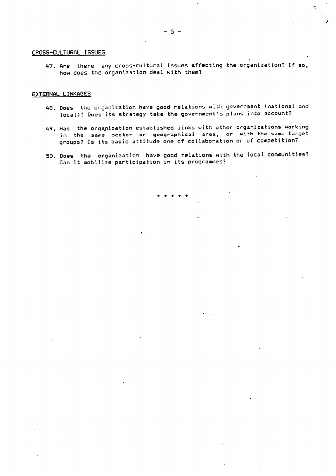# CROSS-CULTURAL ISSUES

47. Are there any cross-cultural issues affecting the organization? If so, how does the organization deal with them?

### EXTERNAL LINKAGES

- 48. Does the organization have good relations with government (national and local)? Does its strategy take the government's plans into account?
- 49. Has the organization established links with other organizations working in the same sector or geographical area, or with the same target groups? Is its basic attitude one of collaboration or of competition?
- 50. Does the organization have good relations with the local communities? Can it mobilize participation in its programmes?